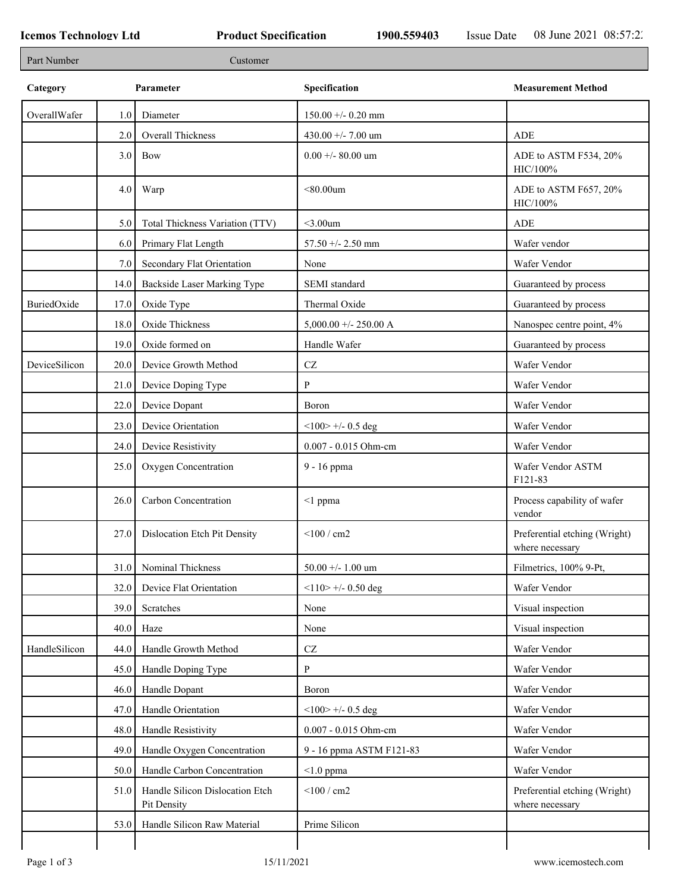Г

| Category      |         | Parameter                                      | Specification            | <b>Measurement Method</b>                        |
|---------------|---------|------------------------------------------------|--------------------------|--------------------------------------------------|
| OverallWafer  | $1.0\,$ | Diameter                                       | $150.00 + - 0.20$ mm     |                                                  |
|               | 2.0     | Overall Thickness                              | 430.00 +/- 7.00 um       | ADE                                              |
|               | 3.0     | Bow                                            | $0.00 + - 80.00$ um      | ADE to ASTM F534, 20%<br>HIC/100%                |
|               | 4.0     | Warp                                           | $<$ 80.00 $um$           | ADE to ASTM F657, 20%<br>HIC/100%                |
|               | 5.0     | Total Thickness Variation (TTV)                | $<$ 3.00 $um$            | ADE                                              |
|               | 6.0     | Primary Flat Length                            | 57.50 +/- 2.50 mm        | Wafer vendor                                     |
|               | 7.0     | Secondary Flat Orientation                     | None                     | Wafer Vendor                                     |
|               | 14.0    | Backside Laser Marking Type                    | SEMI standard            | Guaranteed by process                            |
| BuriedOxide   | 17.0    | Oxide Type                                     | Thermal Oxide            | Guaranteed by process                            |
|               | 18.0    | Oxide Thickness                                | $5,000.00 +/- 250.00 A$  | Nanospec centre point, 4%                        |
|               | 19.0    | Oxide formed on                                | Handle Wafer             | Guaranteed by process                            |
| DeviceSilicon | 20.0    | Device Growth Method                           | $\operatorname{CZ}$      | Wafer Vendor                                     |
|               | 21.0    | Device Doping Type                             | P                        | Wafer Vendor                                     |
|               | 22.0    | Device Dopant                                  | Boron                    | Wafer Vendor                                     |
|               | 23.0    | Device Orientation                             | $<100$ > +/- 0.5 deg     | Wafer Vendor                                     |
|               | 24.0    | Device Resistivity                             | 0.007 - 0.015 Ohm-cm     | Wafer Vendor                                     |
|               | 25.0    | Oxygen Concentration                           | 9 - 16 ppma              | Wafer Vendor ASTM<br>F121-83                     |
|               | 26.0    | Carbon Concentration                           | $\leq$ 1 ppma            | Process capability of wafer<br>vendor            |
|               | 27.0    | Dislocation Etch Pit Density                   | $<$ 100 / cm2            | Preferential etching (Wright)<br>where necessary |
|               | 31.0    | Nominal Thickness                              | 50.00 +/- 1.00 um        | Filmetrics, 100% 9-Pt,                           |
|               | 32.0    | Device Flat Orientation                        | $<$ 110> +/- 0.50 deg    | Wafer Vendor                                     |
|               | 39.0    | Scratches                                      | None                     | Visual inspection                                |
|               | 40.0    | Haze                                           | None                     | Visual inspection                                |
| HandleSilicon | 44.0    | Handle Growth Method                           | $\operatorname{CZ}$      | Wafer Vendor                                     |
|               | 45.0    | Handle Doping Type                             | P                        | Wafer Vendor                                     |
|               | 46.0    | Handle Dopant                                  | Boron                    | Wafer Vendor                                     |
|               | 47.0    | Handle Orientation                             | $<$ 100> +/- 0.5 deg     | Wafer Vendor                                     |
|               | 48.0    | Handle Resistivity                             | 0.007 - 0.015 Ohm-cm     | Wafer Vendor                                     |
|               | 49.0    | Handle Oxygen Concentration                    | 9 - 16 ppma ASTM F121-83 | Wafer Vendor                                     |
|               | 50.0    | Handle Carbon Concentration                    | $< 1.0$ ppma             | Wafer Vendor                                     |
|               | 51.0    | Handle Silicon Dislocation Etch<br>Pit Density | $<$ 100 / cm2            | Preferential etching (Wright)<br>where necessary |
|               |         |                                                |                          |                                                  |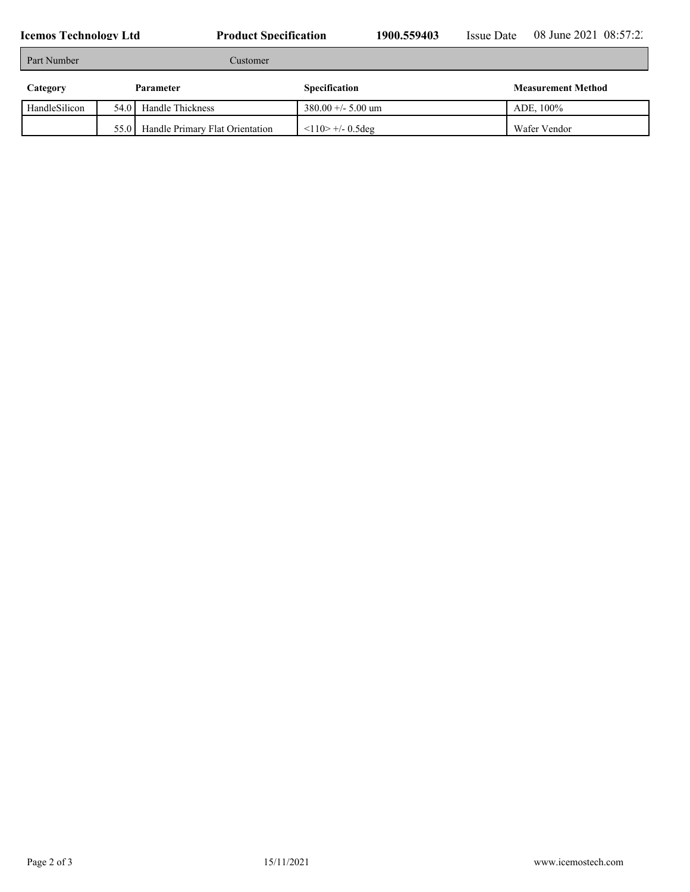| Part Number   | Customer  |                                 |                      |                           |  |
|---------------|-----------|---------------------------------|----------------------|---------------------------|--|
| Category      | Parameter |                                 | Specification        | <b>Measurement Method</b> |  |
| HandleSilicon | 54.0      | Handle Thickness                | $380.00 +/- 5.00$ um | ADE, 100%                 |  |
|               | 55.0      | Handle Primary Flat Orientation | $110$ +/- 0.5deg     | Wafer Vendor              |  |